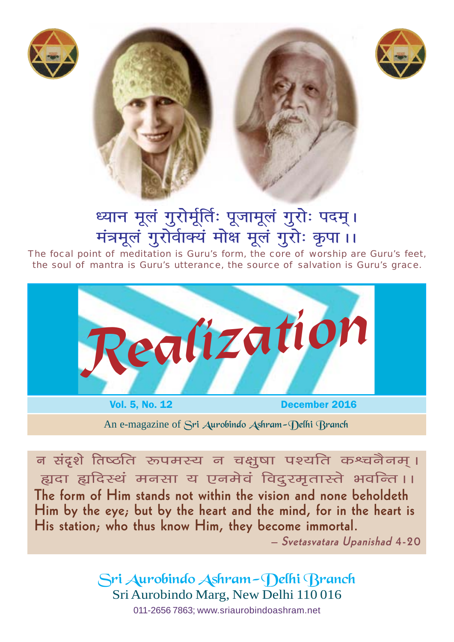





# ध्यान मूलं गुरोर्मूर्तिः पूजामूलं गुरोः पदम्। मंत्रमूलं गुरोर्वाक्यं मोक्ष मूलं गुरोः कृपा।।

*The focal point of meditation is Guru's form, the core of worship are Guru's feet, the soul of mantra is Guru's utterance, the source of salvation is Guru's grace.*



An e-magazine of Sri Aurobindo Ashram-Delhi Branch

न संदृशे तिष्ठति रूपमस्य न चक्षुषा पश्यति कश्चनैनम्। ह्यदा ह्यदिस्थं मनसा य एनमेवं विदूरमृतास्ते भवन्ति ।। **The form of Him stands not within the vision and none beholdeth Him by the eye; but by the heart and the mind, for in the heart is His station; who thus know Him, they become immortal.**

**– Svetasvatara Upanishad 4-20**

Sri Aurobindo Ashram-Delhi Branch Sri Aurobindo Marg, New Delhi 110 016

011-2656 7863; www.sriaurobindoashram.net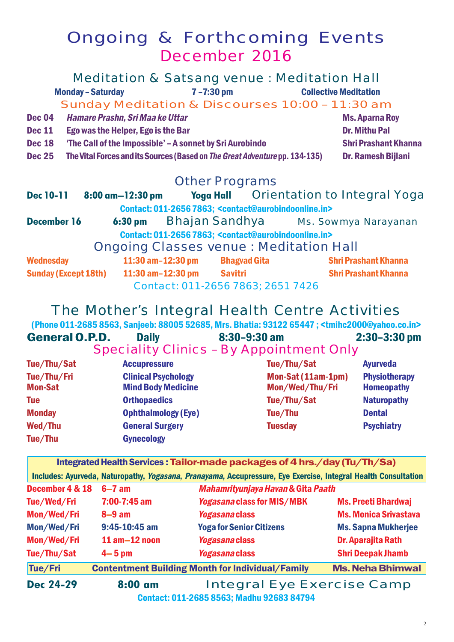# Ongoing & Forthcoming Events December 2016

| Meditation & Satsang venue: Meditation Hall                                                                               |                                                 |                                     |                             |                              |                                               |
|---------------------------------------------------------------------------------------------------------------------------|-------------------------------------------------|-------------------------------------|-----------------------------|------------------------------|-----------------------------------------------|
|                                                                                                                           | <b>Monday - Saturday</b>                        | $7 - 7:30 \text{ pm}$               |                             | <b>Collective Meditation</b> |                                               |
|                                                                                                                           | Sunday Meditation & Discourses 10:00 - 11:30 am |                                     |                             |                              |                                               |
| <b>Dec 04</b>                                                                                                             | Hamare Prashn, Sri Maa ke Uttar                 |                                     |                             |                              | <b>Ms. Aparna Roy</b>                         |
| <b>Dec 11</b>                                                                                                             | Ego was the Helper, Ego is the Bar              |                                     |                             |                              | <b>Dr. Mithu Pal</b>                          |
| 'The Call of the Impossible' - A sonnet by Sri Aurobindo<br><b>Dec 18</b>                                                 |                                                 |                                     | <b>Shri Prashant Khanna</b> |                              |                                               |
| The Vital Forces and its Sources (Based on The Great Adventure pp. 134-135)<br><b>Dec 25</b><br><b>Dr. Ramesh Bijlani</b> |                                                 |                                     |                             |                              |                                               |
| <b>Other Programs</b>                                                                                                     |                                                 |                                     |                             |                              |                                               |
| <b>Dec 10-11</b>                                                                                                          | 8:00 am–12:30 pm                                |                                     |                             |                              | <b>Yoga Hall</b> Orientation to Integral Yoga |
| Contact: 011-2656 7863; <contact@aurobindoonline.in></contact@aurobindoonline.in>                                         |                                                 |                                     |                             |                              |                                               |
| <b>December 16</b>                                                                                                        | $6:30 \text{ pm}$                               | Bhajan Sandhya Ms. Sowmya Narayanan |                             |                              |                                               |
| Contact: 011-2656 7863; <contact@aurobindoonline.in></contact@aurobindoonline.in>                                         |                                                 |                                     |                             |                              |                                               |
| <b>Ongoing Classes venue: Meditation Hall</b>                                                                             |                                                 |                                     |                             |                              |                                               |
| <b>Wednesday</b>                                                                                                          |                                                 | 11:30 am-12:30 pm                   | <b>Bhagyad Gita</b>         |                              | <b>Shri Prashant Khanna</b>                   |

Sunday (Except 18th) 11:30 am–12:30 pm Savitri Shri Prashant Khanna

*Contact: 011-2656 7863; 2651 7426*

## The Mother's Integral Health Centre Activities

(Phone 011-2685 8563, Sanjeeb: 88005 52685, Mrs. Bhatia: 93122 65447 ; <tmihc2000@yahoo.co.in>

| <b>General O.P.D.</b>         | <b>Daily</b>                                            | $8:30-9:30$ am                                  | $2:30-3:30$ pm                            |
|-------------------------------|---------------------------------------------------------|-------------------------------------------------|-------------------------------------------|
|                               |                                                         | <b>Speciality Clinics - By Appointment Only</b> |                                           |
| Tue/Thu/Sat                   | <b>Accupressure</b>                                     | Tue/Thu/Sat                                     | <b>Ayurveda</b>                           |
| Tue/Thu/Fri<br><b>Mon-Sat</b> | <b>Clinical Psychology</b><br><b>Mind Body Medicine</b> | Mon-Sat (11am-1pm)<br>Mon/Wed/Thu/Fri           | <b>Physiotherapy</b><br><b>Homeopathy</b> |
| <b>Tue</b>                    | <b>Orthopaedics</b>                                     | Tue/Thu/Sat                                     | <b>Naturopathy</b>                        |
| <b>Monday</b>                 | <b>Ophthalmology (Eye)</b>                              | Tue/Thu                                         | <b>Dental</b>                             |
| Wed/Thu                       | <b>General Surgery</b>                                  | <b>Tuesday</b>                                  | <b>Psychiatry</b>                         |
| Tue/Thu                       | <b>Gynecology</b>                                       |                                                 |                                           |

Integrated Health Services : Tailor-made packages of 4 hrs./day (Tu/Th/Sa)

Includes: Ayurveda, Naturopathy, Yogasana, Pranayama, Accupressure, Eye Exercise, Integral Health Consultation

| December 4 & 18  | $6 - 7$ am         | Mahamrityunjaya Havan & Gita Paath                      |                              |  |
|------------------|--------------------|---------------------------------------------------------|------------------------------|--|
| Tue/Wed/Fri      | $7:00-7:45$ am     | Yogasana class for MIS/MBK                              | <b>Ms. Preeti Bhardwaj</b>   |  |
| Mon/Wed/Fri      | $8-9$ am           | <b>Yogasana class</b>                                   | <b>Ms. Monica Srivastava</b> |  |
| Mon/Wed/Fri      | $9:45-10:45$ am    | <b>Yoga for Senior Citizens</b>                         | <b>Ms. Sapna Mukherjee</b>   |  |
| Mon/Wed/Fri      | $11$ am $-12$ noon | <b>Yogasanaclass</b>                                    | Dr. Aparajita Rath           |  |
| Tue/Thu/Sat      | $4 - 5$ pm         | <b>Yogasanaclass</b>                                    | <b>Shri Deepak Jhamb</b>     |  |
| Tue/Fri          |                    | <b>Contentment Building Month for Individual/Family</b> | <b>Ms. Neha Bhimwal</b>      |  |
| <b>Dec 24-29</b> | $8:00$ am          | <b>Integral Eye Exercise Camp</b>                       |                              |  |

Contact: 011-2685 8563; Madhu 92683 84794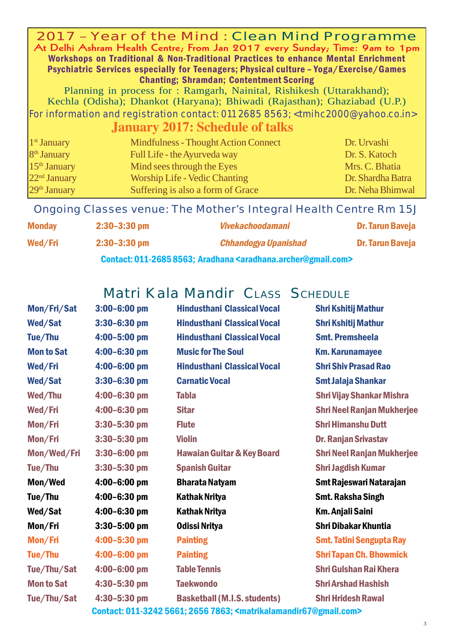### 2017 – Year of the Mind : Clean Mind Programme **At Delhi Ashram Health Centre; From Jan 2017 every Sunday; Time: 9am to 1pm** Workshops on Traditional & Non-Traditional Practices to enhance Mental Enrichment Psychiatric Services especially for Teenagers; Physical culture – Yoga/Exercise/Games Chanting; Shramdan; Contentment Scoring

Planning in process for : Ramgarh, Nainital, Rishikesh (Uttarakhand); Kechla (Odisha); Dhankot (Haryana); Bhiwadi (Rajasthan); Ghaziabad (U.P.) For information and registration contact: 011 2685 8563; <tmihc2000@yahoo.co.in>

### **January 2017: Schedule of talks**

| 1 <sup>st</sup> January  | <b>Mindfulness - Thought Action Connect</b> | Dr. Urvashi       |
|--------------------------|---------------------------------------------|-------------------|
| 8 <sup>th</sup> January  | Full Life - the Ayurveda way                | Dr. S. Katoch     |
| $15th$ January           | Mind sees through the Eyes                  | Mrs. C. Bhatia    |
| $22nd$ January           | <b>Worship Life - Vedic Chanting</b>        | Dr. Shardha Batra |
| 29 <sup>th</sup> January | Suffering is also a form of Grace           | Dr. Neha Bhimwal  |

Ongoing Classes venue: The Mother's Integral Health Centre Rm 15J

| <b>Monday</b> | $2:30 - 3:30$ pm | Vivekachoodamani                                                                         | <b>Dr. Tarun Baveja</b> |
|---------------|------------------|------------------------------------------------------------------------------------------|-------------------------|
| Wed/Fri       | $2:30 - 3:30$ pm | Chhandogya Upanishad                                                                     | <b>Dr. Tarun Baveja</b> |
|               |                  | Contact: 011-2685 8563; Aradhana <aradhana.archer@gmail.com></aradhana.archer@gmail.com> |                         |

# Matri Kala Mandir CLASS SCHEDULE

| Mon/Fri/Sat       | $3:00 - 6:00$ pm | <b>Hindusthani Classical Vocal</b>                                                             | <b>Shri Kshitij Mathur</b>        |
|-------------------|------------------|------------------------------------------------------------------------------------------------|-----------------------------------|
| Wed/Sat           | $3:30-6:30$ pm   | <b>Hindusthani Classical Vocal</b>                                                             | <b>Shri Kshitij Mathur</b>        |
| Tue/Thu           | $4:00 - 5:00$ pm | <b>Hindusthani Classical Vocal</b>                                                             | <b>Smt. Premsheela</b>            |
| <b>Mon to Sat</b> | $4:00 - 6:30$ pm | <b>Music for The Soul</b>                                                                      | <b>Km. Karunamayee</b>            |
| Wed/Fri           | $4:00 - 6:00$ pm | <b>Hindusthani Classical Vocal</b>                                                             | <b>Shri Shiv Prasad Rao</b>       |
| Wed/Sat           | $3:30 - 6:30$ pm | <b>Carnatic Vocal</b>                                                                          | <b>Smt Jalaja Shankar</b>         |
| Wed/Thu           | 4:00-6:30 pm     | <b>Tabla</b>                                                                                   | <b>Shri Vijay Shankar Mishra</b>  |
| Wed/Fri           | $4:00 - 6:30$ pm | <b>Sitar</b>                                                                                   | <b>Shri Neel Ranjan Mukherjee</b> |
| Mon/Fri           | $3:30 - 5:30$ pm | <b>Flute</b>                                                                                   | <b>Shri Himanshu Dutt</b>         |
| Mon/Fri           | $3:30 - 5:30$ pm | <b>Violin</b>                                                                                  | Dr. Ranjan Srivastav              |
| Mon/Wed/Fri       | $3:30-6:00$ pm   | <b>Hawaian Guitar &amp; Key Board</b>                                                          | <b>Shri Neel Ranjan Mukherjee</b> |
| Tue/Thu           | $3:30 - 5:30$ pm | <b>Spanish Guitar</b>                                                                          | <b>Shri Jagdish Kumar</b>         |
| Mon/Wed           | $4:00 - 6:00$ pm | <b>Bharata Natyam</b>                                                                          | Smt Rajeswari Natarajan           |
| Tue/Thu           | $4:00 - 6:30$ pm | <b>Kathak Nritya</b>                                                                           | <b>Smt. Raksha Singh</b>          |
| Wed/Sat           | $4:00 - 6:30$ pm | <b>Kathak Nritya</b>                                                                           | <b>Km. Anjali Saini</b>           |
| Mon/Fri           | $3:30 - 5:00$ pm | <b>Odissi Nritya</b>                                                                           | <b>Shri Dibakar Khuntia</b>       |
| Mon/Fri           | 4:00-5:30 pm     | <b>Painting</b>                                                                                | <b>Smt. Tatini Sengupta Ray</b>   |
| Tue/Thu           | 4:00-6:00 pm     | <b>Painting</b>                                                                                | <b>Shri Tapan Ch. Bhowmick</b>    |
| Tue/Thu/Sat       | 4:00-6:00 pm     | <b>Table Tennis</b>                                                                            | <b>Shri Gulshan Rai Khera</b>     |
| <b>Mon to Sat</b> | $4:30 - 5:30$ pm | <b>Taekwondo</b>                                                                               | <b>Shri Arshad Hashish</b>        |
| Tue/Thu/Sat       | 4:30-5:30 pm     | <b>Basketball (M.I.S. students)</b>                                                            | <b>Shri Hridesh Rawal</b>         |
|                   |                  | Contact: 011-3242 5661; 2656 7863; <matrikalamandir67@gmail.com></matrikalamandir67@gmail.com> |                                   |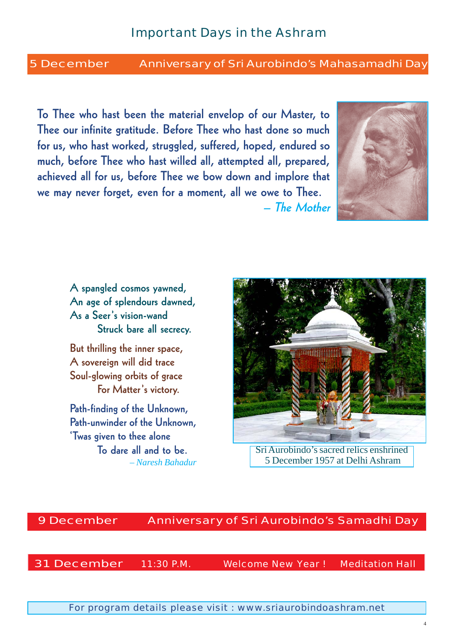### 5 December Anniversary of Sri Aurobindo's *Mahasamadhi* Day

**To Thee who hast been the material envelop of our Master, to Thee our infinite gratitude. Before Thee who hast done so much for us, who hast worked, struggled, suffered, hoped, endured so much, before Thee who hast willed all, attempted all, prepared, achieved all for us, before Thee we bow down and implore that we may never forget, even for a moment, all we owe to Thee. – The Mother**



**A spangled cosmos yawned, An age of splendours dawned, As a Seer's vision-wand Struck bare all secrecy.**

**But thrilling the inner space, A sovereign will did trace Soul-glowing orbits of grace For Matter's victory.**

**Path-finding of the Unknown, Path-unwinder of the Unknown, 'Twas given to thee alone To dare all and to be.** – *Naresh Bahadur*



Sri Aurobindo's sacred relics enshrined 5 December 1957 at Delhi Ashram

9 December Anniversary of Sri Aurobindo's *Samadhi* Day

31 December 11:30 P.M. Welcome New Year ! Meditation Hall

For program details please visit : www.sriaurobindoashram.net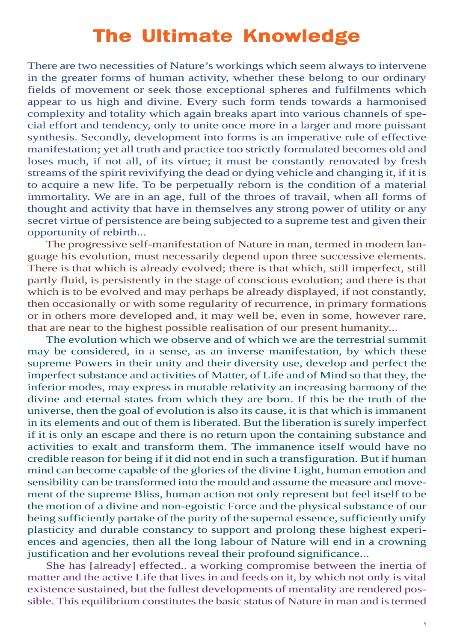# The Ultimate Knowledge

There are two necessities of Nature's workings which seem always to intervene in the greater forms of human activity, whether these belong to our ordinary fields of movement or seek those exceptional spheres and fulfilments which appear to us high and divine. Every such form tends towards a harmonised complexity and totality which again breaks apart into various channels of special effort and tendency, only to unite once more in a larger and more puissant synthesis. Secondly, development into forms is an imperative rule of effective manifestation; yet all truth and practice too strictly formulated becomes old and loses much, if not all, of its virtue; it must be constantly renovated by fresh streams of the spirit revivifying the dead or dying vehicle and changing it, if it is to acquire a new life. To be perpetually reborn is the condition of a material immortality. We are in an age, full of the throes of travail, when all forms of thought and activity that have in themselves any strong power of utility or any secret virtue of persistence are being subjected to a supreme test and given their opportunity of rebirth...

The progressive self-manifestation of Nature in man, termed in modern language his evolution, must necessarily depend upon three successive elements. There is that which is already evolved; there is that which, still imperfect, still partly fluid, is persistently in the stage of conscious evolution; and there is that which is to be evolved and may perhaps be already displayed, if not constantly, then occasionally or with some regularity of recurrence, in primary formations or in others more developed and, it may well be, even in some, however rare, that are near to the highest possible realisation of our present humanity...

The evolution which we observe and of which we are the terrestrial summit may be considered, in a sense, as an inverse manifestation, by which these supreme Powers in their unity and their diversity use, develop and perfect the imperfect substance and activities of Matter, of Life and of Mind so that they, the inferior modes, may express in mutable relativity an increasing harmony of the divine and eternal states from which they are born. If this be the truth of the universe, then the goal of evolution is also its cause, it is that which is immanent in its elements and out of them is liberated. But the liberation is surely imperfect if it is only an escape and there is no return upon the containing substance and activities to exalt and transform them. The immanence itself would have no credible reason for being if it did not end in such a transfiguration. But if human mind can become capable of the glories of the divine Light, human emotion and sensibility can be transformed into the mould and assume the measure and movement of the supreme Bliss, human action not only represent but feel itself to be the motion of a divine and non-egoistic Force and the physical substance of our being sufficiently partake of the purity of the supernal essence, sufficiently unify plasticity and durable constancy to support and prolong these highest experiences and agencies, then all the long labour of Nature will end in a crowning justification and her evolutions reveal their profound significance...

She has [already] effected.. a working compromise between the inertia of matter and the active Life that lives in and feeds on it, by which not only is vital existence sustained, but the fullest developments of mentality are rendered possible. This equilibrium constitutes the basic status of Nature in man and is termed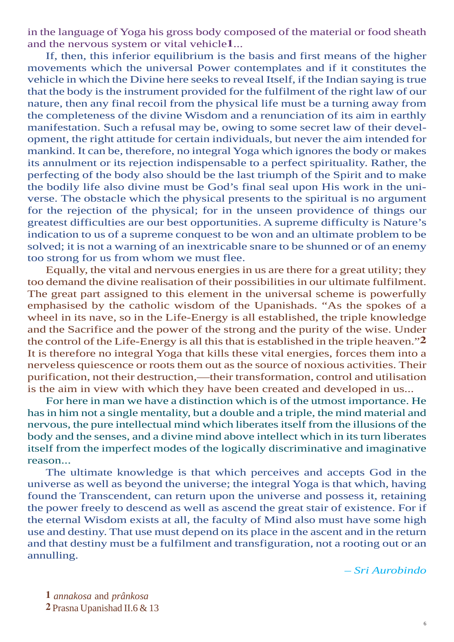in the language of Yoga his gross body composed of the material or food sheath and the nervous system or vital vehicle**1**...

If, then, this inferior equilibrium is the basis and first means of the higher movements which the universal Power contemplates and if it constitutes the vehicle in which the Divine here seeks to reveal Itself, if the Indian saying is true that the body is the instrument provided for the fulfilment of the right law of our nature, then any final recoil from the physical life must be a turning away from the completeness of the divine Wisdom and a renunciation of its aim in earthly manifestation. Such a refusal may be, owing to some secret law of their development, the right attitude for certain individuals, but never the aim intended for mankind. It can be, therefore, no integral Yoga which ignores the body or makes its annulment or its rejection indispensable to a perfect spirituality. Rather, the perfecting of the body also should be the last triumph of the Spirit and to make the bodily life also divine must be God's final seal upon His work in the universe. The obstacle which the physical presents to the spiritual is no argument for the rejection of the physical; for in the unseen providence of things our greatest difficulties are our best opportunities. A supreme difficulty is Nature's indication to us of a supreme conquest to be won and an ultimate problem to be solved; it is not a warning of an inextricable snare to be shunned or of an enemy too strong for us from whom we must flee.

Equally, the vital and nervous energies in us are there for a great utility; they too demand the divine realisation of their possibilities in our ultimate fulfilment. The great part assigned to this element in the universal scheme is powerfully emphasised by the catholic wisdom of the Upanishads. "As the spokes of a wheel in its nave, so in the Life-Energy is all established, the triple knowledge and the Sacrifice and the power of the strong and the purity of the wise. Under the control of the Life-Energy is all this that is established in the triple heaven."**2** It is therefore no integral Yoga that kills these vital energies, forces them into a nerveless quiescence or roots them out as the source of noxious activities. Their purification, not their destruction,—their transformation, control and utilisation is the aim in view with which they have been created and developed in us...

For here in man we have a distinction which is of the utmost importance. He has in him not a single mentality, but a double and a triple, the mind material and nervous, the pure intellectual mind which liberates itself from the illusions of the body and the senses, and a divine mind above intellect which in its turn liberates itself from the imperfect modes of the logically discriminative and imaginative reason...

The ultimate knowledge is that which perceives and accepts God in the universe as well as beyond the universe; the integral Yoga is that which, having found the Transcendent, can return upon the universe and possess it, retaining the power freely to descend as well as ascend the great stair of existence. For if the eternal Wisdom exists at all, the faculty of Mind also must have some high use and destiny. That use must depend on its place in the ascent and in the return and that destiny must be a fulfilment and transfiguration, not a rooting out or an annulling.

– *Sri Aurobindo*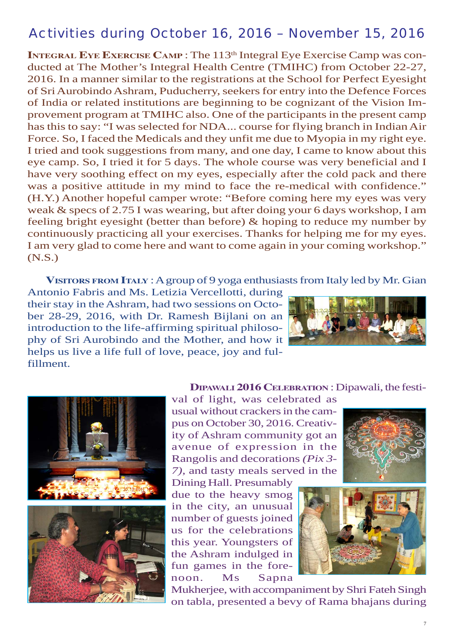## Activities during October 16, 2016 – November 15, 2016

**INTEGRAL EYE EXERCISE CAMP** : The 113<sup>th</sup> Integral Eye Exercise Camp was conducted at The Mother's Integral Health Centre (TMIHC) from October 22-27, 2016. In a manner similar to the registrations at the School for Perfect Eyesight of Sri Aurobindo Ashram, Puducherry, seekers for entry into the Defence Forces of India or related institutions are beginning to be cognizant of the Vision Improvement program at TMIHC also. One of the participants in the present camp has this to say: "I was selected for NDA... course for flying branch in Indian Air Force. So, I faced the Medicals and they unfit me due to Myopia in my right eye. I tried and took suggestions from many, and one day, I came to know about this eye camp. So, I tried it for 5 days. The whole course was very beneficial and I have very soothing effect on my eyes, especially after the cold pack and there was a positive attitude in my mind to face the re-medical with confidence." (H.Y.) Another hopeful camper wrote: "Before coming here my eyes was very weak & specs of 2.75 I was wearing, but after doing your 6 days workshop, I am feeling bright eyesight (better than before) & hoping to reduce my number by continuously practicing all your exercises. Thanks for helping me for my eyes. I am very glad to come here and want to come again in your coming workshop." (N.S.)

**VISITORS FROM ITALY** : A group of 9 yoga enthusiasts from Italy led by Mr. Gian

Antonio Fabris and Ms. Letizia Vercellotti, during their stay in the Ashram, had two sessions on October 28-29, 2016, with Dr. Ramesh Bijlani on an introduction to the life-affirming spiritual philosophy of Sri Aurobindo and the Mother, and how it helps us live a life full of love, peace, joy and fulfillment.







### **DIPAWALI 2016 CELEBRATION** : Dipawali, the festi-

val of light, was celebrated as usual without crackers in the campus on October 30, 2016. Creativity of Ashram community got an avenue of expression in the Rangolis and decorations *(Pix 3- 7)*, and tasty meals served in the

Dining Hall. Presumably due to the heavy smog in the city, an unusual number of guests joined us for the celebrations this year. Youngsters of the Ashram indulged in fun games in the forenoon. Ms Sapna

Mukherjee, with accompaniment by Shri Fateh Singh on tabla, presented a bevy of Rama bhajans during



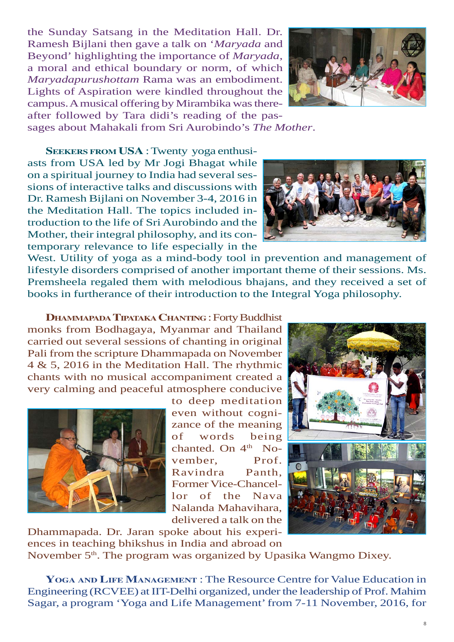the Sunday Satsang in the Meditation Hall. Dr. Ramesh Bijlani then gave a talk on '*Maryada* and Beyond' highlighting the importance of *Maryada*, a moral and ethical boundary or norm, of which *Maryadapurushottam* Rama was an embodiment. Lights of Aspiration were kindled throughout the campus. A musical offering by Mirambika was thereafter followed by Tara didi's reading of the pas-



sages about Mahakali from Sri Aurobindo's *The Mother*.

**SEEKERS FROM USA** : Twenty yoga enthusiasts from USA led by Mr Jogi Bhagat while on a spiritual journey to India had several sessions of interactive talks and discussions with Dr. Ramesh Bijlani on November 3-4, 2016 in the Meditation Hall. The topics included introduction to the life of Sri Aurobindo and the Mother, their integral philosophy, and its contemporary relevance to life especially in the

West. Utility of yoga as a mind-body tool in prevention and management of lifestyle disorders comprised of another important theme of their sessions. Ms. Premsheela regaled them with melodious bhajans, and they received a set of books in furtherance of their introduction to the Integral Yoga philosophy.

**DHAMMAPADA TIPATAKA CHANTING**: Forty Buddhist monks from Bodhagaya, Myanmar and Thailand carried out several sessions of chanting in original Pali from the scripture Dhammapada on November 4 & 5, 2016 in the Meditation Hall. The rhythmic chants with no musical accompaniment created a very calming and peaceful atmosphere conducive



to deep meditation even without cognizance of the meaning of words being chanted. On  $4<sup>th</sup>$  November, Prof. Ravindra Panth, Former Vice-Chancellor of the Nava Nalanda Mahavihara, delivered a talk on the



Dhammapada. Dr. Jaran spoke about his experiences in teaching bhikshus in India and abroad on November 5<sup>th</sup>. The program was organized by Upasika Wangmo Dixey.

**YOGA AND LIFE MANAGEMENT** : The Resource Centre for Value Education in Engineering (RCVEE) at IIT-Delhi organized, under the leadership of Prof. Mahim Sagar, a program 'Yoga and Life Management' from 7-11 November, 2016, for

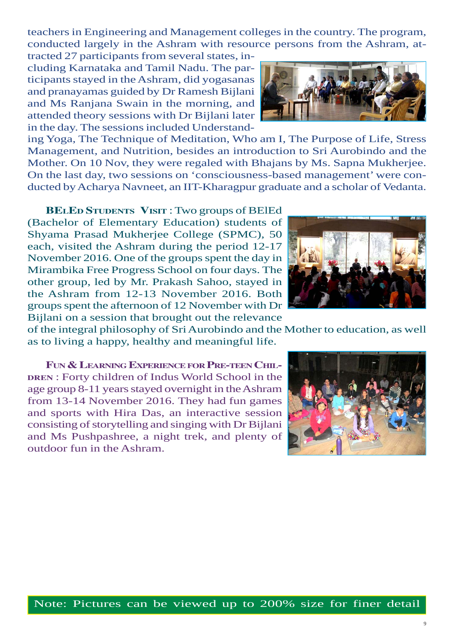teachers in Engineering and Management colleges in the country. The program, conducted largely in the Ashram with resource persons from the Ashram, at-

tracted 27 participants from several states, including Karnataka and Tamil Nadu. The participants stayed in the Ashram, did yogasanas and pranayamas guided by Dr Ramesh Bijlani and Ms Ranjana Swain in the morning, and attended theory sessions with Dr Bijlani later in the day. The sessions included Understand-

ing Yoga, The Technique of Meditation, Who am I, The Purpose of Life, Stress Management, and Nutrition, besides an introduction to Sri Aurobindo and the Mother. On 10 Nov, they were regaled with Bhajans by Ms. Sapna Mukherjee. On the last day, two sessions on 'consciousness-based management' were conducted by Acharya Navneet, an IIT-Kharagpur graduate and a scholar of Vedanta.

**BELED STUDENTS** VISIT : Two groups of BEIEd (Bachelor of Elementary Education) students of Shyama Prasad Mukherjee College (SPMC), 50 each, visited the Ashram during the period 12-17 November 2016. One of the groups spent the day in Mirambika Free Progress School on four days. The other group, led by Mr. Prakash Sahoo, stayed in the Ashram from 12-13 November 2016. Both groups spent the afternoon of 12 November with Dr Bijlani on a session that brought out the relevance

of the integral philosophy of Sri Aurobindo and the Mother to education, as well as to living a happy, healthy and meaningful life.

FUN & LEARNING EXPERIENCE FOR PRE-TEEN CHIL-**DREN** : Forty children of Indus World School in the age group 8-11 years stayed overnight in the Ashram from 13-14 November 2016. They had fun games and sports with Hira Das, an interactive session consisting of storytelling and singing with Dr Bijlani and Ms Pushpashree, a night trek, and plenty of outdoor fun in the Ashram.





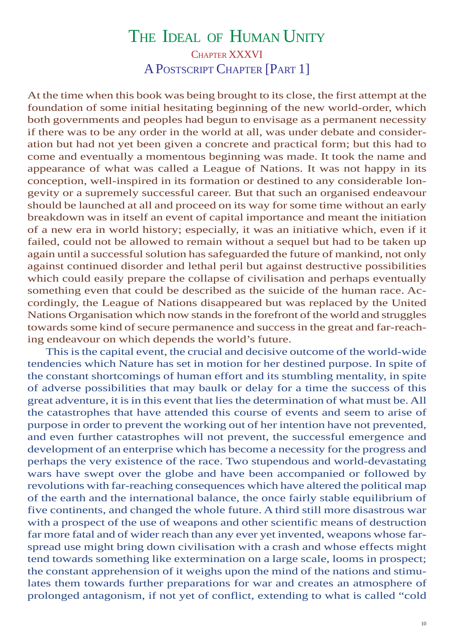## THE IDEAL OF HUMAN UNITY CHAPTER XXXVI A POSTSCRIPT CHAPTER [PART 1]

At the time when this book was being brought to its close, the first attempt at the foundation of some initial hesitating beginning of the new world-order, which both governments and peoples had begun to envisage as a permanent necessity if there was to be any order in the world at all, was under debate and consideration but had not yet been given a concrete and practical form; but this had to come and eventually a momentous beginning was made. It took the name and appearance of what was called a League of Nations. It was not happy in its conception, well-inspired in its formation or destined to any considerable longevity or a supremely successful career. But that such an organised endeavour should be launched at all and proceed on its way for some time without an early breakdown was in itself an event of capital importance and meant the initiation of a new era in world history; especially, it was an initiative which, even if it failed, could not be allowed to remain without a sequel but had to be taken up again until a successful solution has safeguarded the future of mankind, not only against continued disorder and lethal peril but against destructive possibilities which could easily prepare the collapse of civilisation and perhaps eventually something even that could be described as the suicide of the human race. Accordingly, the League of Nations disappeared but was replaced by the United Nations Organisation which now stands in the forefront of the world and struggles towards some kind of secure permanence and success in the great and far-reaching endeavour on which depends the world's future.

This is the capital event, the crucial and decisive outcome of the world-wide tendencies which Nature has set in motion for her destined purpose. In spite of the constant shortcomings of human effort and its stumbling mentality, in spite of adverse possibilities that may baulk or delay for a time the success of this great adventure, it is in this event that lies the determination of what must be. All the catastrophes that have attended this course of events and seem to arise of purpose in order to prevent the working out of her intention have not prevented, and even further catastrophes will not prevent, the successful emergence and development of an enterprise which has become a necessity for the progress and perhaps the very existence of the race. Two stupendous and world-devastating wars have swept over the globe and have been accompanied or followed by revolutions with far-reaching consequences which have altered the political map of the earth and the international balance, the once fairly stable equilibrium of five continents, and changed the whole future. A third still more disastrous war with a prospect of the use of weapons and other scientific means of destruction far more fatal and of wider reach than any ever yet invented, weapons whose farspread use might bring down civilisation with a crash and whose effects might tend towards something like extermination on a large scale, looms in prospect; the constant apprehension of it weighs upon the mind of the nations and stimulates them towards further preparations for war and creates an atmosphere of prolonged antagonism, if not yet of conflict, extending to what is called "cold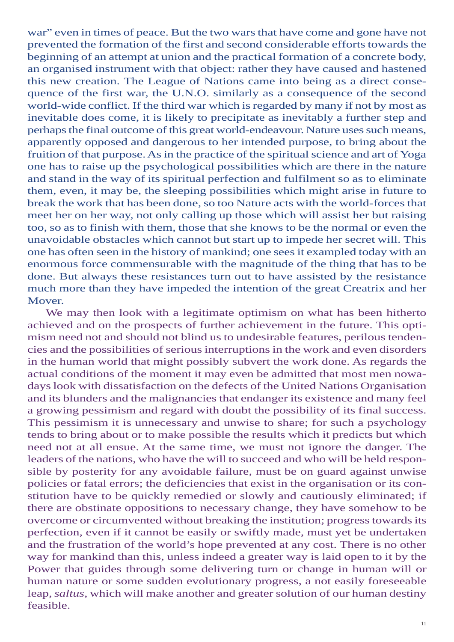war" even in times of peace. But the two wars that have come and gone have not prevented the formation of the first and second considerable efforts towards the beginning of an attempt at union and the practical formation of a concrete body, an organised instrument with that object: rather they have caused and hastened this new creation. The League of Nations came into being as a direct consequence of the first war, the U.N.O. similarly as a consequence of the second world-wide conflict. If the third war which is regarded by many if not by most as inevitable does come, it is likely to precipitate as inevitably a further step and perhaps the final outcome of this great world-endeavour. Nature uses such means, apparently opposed and dangerous to her intended purpose, to bring about the fruition of that purpose. As in the practice of the spiritual science and art of Yoga one has to raise up the psychological possibilities which are there in the nature and stand in the way of its spiritual perfection and fulfilment so as to eliminate them, even, it may be, the sleeping possibilities which might arise in future to break the work that has been done, so too Nature acts with the world-forces that meet her on her way, not only calling up those which will assist her but raising too, so as to finish with them, those that she knows to be the normal or even the unavoidable obstacles which cannot but start up to impede her secret will. This one has often seen in the history of mankind; one sees it exampled today with an enormous force commensurable with the magnitude of the thing that has to be done. But always these resistances turn out to have assisted by the resistance much more than they have impeded the intention of the great Creatrix and her Mover.

We may then look with a legitimate optimism on what has been hitherto achieved and on the prospects of further achievement in the future. This optimism need not and should not blind us to undesirable features, perilous tendencies and the possibilities of serious interruptions in the work and even disorders in the human world that might possibly subvert the work done. As regards the actual conditions of the moment it may even be admitted that most men nowadays look with dissatisfaction on the defects of the United Nations Organisation and its blunders and the malignancies that endanger its existence and many feel a growing pessimism and regard with doubt the possibility of its final success. This pessimism it is unnecessary and unwise to share; for such a psychology tends to bring about or to make possible the results which it predicts but which need not at all ensue. At the same time, we must not ignore the danger. The leaders of the nations, who have the will to succeed and who will be held responsible by posterity for any avoidable failure, must be on guard against unwise policies or fatal errors; the deficiencies that exist in the organisation or its constitution have to be quickly remedied or slowly and cautiously eliminated; if there are obstinate oppositions to necessary change, they have somehow to be overcome or circumvented without breaking the institution; progress towards its perfection, even if it cannot be easily or swiftly made, must yet be undertaken and the frustration of the world's hope prevented at any cost. There is no other way for mankind than this, unless indeed a greater way is laid open to it by the Power that guides through some delivering turn or change in human will or human nature or some sudden evolutionary progress, a not easily foreseeable leap, *saltus*, which will make another and greater solution of our human destiny feasible.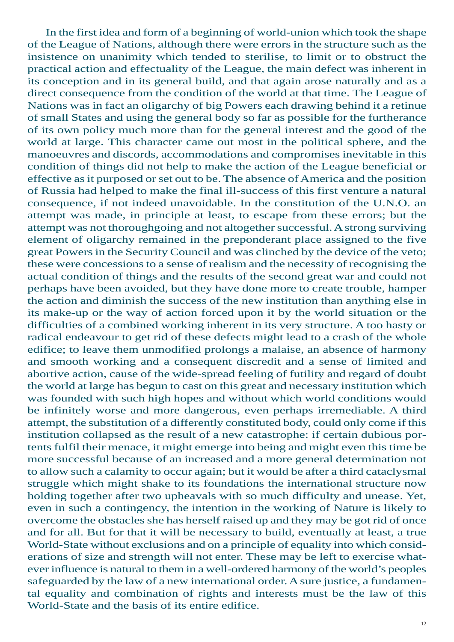In the first idea and form of a beginning of world-union which took the shape of the League of Nations, although there were errors in the structure such as the insistence on unanimity which tended to sterilise, to limit or to obstruct the practical action and effectuality of the League, the main defect was inherent in its conception and in its general build, and that again arose naturally and as a direct consequence from the condition of the world at that time. The League of Nations was in fact an oligarchy of big Powers each drawing behind it a retinue of small States and using the general body so far as possible for the furtherance of its own policy much more than for the general interest and the good of the world at large. This character came out most in the political sphere, and the manoeuvres and discords, accommodations and compromises inevitable in this condition of things did not help to make the action of the League beneficial or effective as it purposed or set out to be. The absence of America and the position of Russia had helped to make the final ill-success of this first venture a natural consequence, if not indeed unavoidable. In the constitution of the U.N.O. an attempt was made, in principle at least, to escape from these errors; but the attempt was not thoroughgoing and not altogether successful. A strong surviving element of oligarchy remained in the preponderant place assigned to the five great Powers in the Security Council and was clinched by the device of the veto; these were concessions to a sense of realism and the necessity of recognising the actual condition of things and the results of the second great war and could not perhaps have been avoided, but they have done more to create trouble, hamper the action and diminish the success of the new institution than anything else in its make-up or the way of action forced upon it by the world situation or the difficulties of a combined working inherent in its very structure. A too hasty or radical endeavour to get rid of these defects might lead to a crash of the whole edifice; to leave them unmodified prolongs a malaise, an absence of harmony and smooth working and a consequent discredit and a sense of limited and abortive action, cause of the wide-spread feeling of futility and regard of doubt the world at large has begun to cast on this great and necessary institution which was founded with such high hopes and without which world conditions would be infinitely worse and more dangerous, even perhaps irremediable. A third attempt, the substitution of a differently constituted body, could only come if this institution collapsed as the result of a new catastrophe: if certain dubious portents fulfil their menace, it might emerge into being and might even this time be more successful because of an increased and a more general determination not to allow such a calamity to occur again; but it would be after a third cataclysmal struggle which might shake to its foundations the international structure now holding together after two upheavals with so much difficulty and unease. Yet, even in such a contingency, the intention in the working of Nature is likely to overcome the obstacles she has herself raised up and they may be got rid of once and for all. But for that it will be necessary to build, eventually at least, a true World-State without exclusions and on a principle of equality into which considerations of size and strength will not enter. These may be left to exercise whatever influence is natural to them in a well-ordered harmony of the world's peoples safeguarded by the law of a new international order. A sure justice, a fundamental equality and combination of rights and interests must be the law of this World-State and the basis of its entire edifice.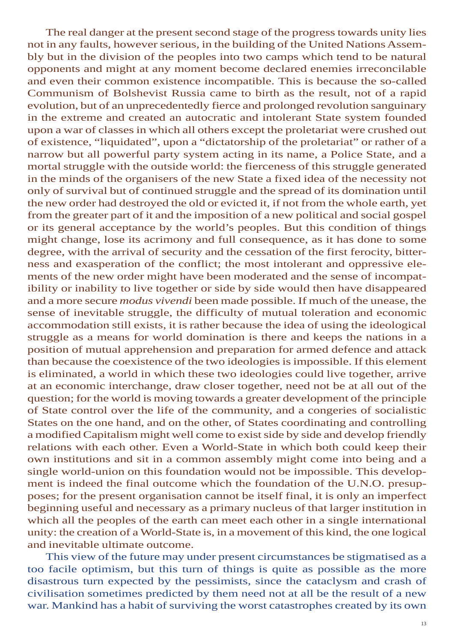The real danger at the present second stage of the progress towards unity lies not in any faults, however serious, in the building of the United Nations Assembly but in the division of the peoples into two camps which tend to be natural opponents and might at any moment become declared enemies irreconcilable and even their common existence incompatible. This is because the so-called Communism of Bolshevist Russia came to birth as the result, not of a rapid evolution, but of an unprecedentedly fierce and prolonged revolution sanguinary in the extreme and created an autocratic and intolerant State system founded upon a war of classes in which all others except the proletariat were crushed out of existence, "liquidated", upon a "dictatorship of the proletariat" or rather of a narrow but all powerful party system acting in its name, a Police State, and a mortal struggle with the outside world: the fierceness of this struggle generated in the minds of the organisers of the new State a fixed idea of the necessity not only of survival but of continued struggle and the spread of its domination until the new order had destroyed the old or evicted it, if not from the whole earth, yet from the greater part of it and the imposition of a new political and social gospel or its general acceptance by the world's peoples. But this condition of things might change, lose its acrimony and full consequence, as it has done to some degree, with the arrival of security and the cessation of the first ferocity, bitterness and exasperation of the conflict; the most intolerant and oppressive elements of the new order might have been moderated and the sense of incompatibility or inability to live together or side by side would then have disappeared and a more secure *modus vivendi* been made possible. If much of the unease, the sense of inevitable struggle, the difficulty of mutual toleration and economic accommodation still exists, it is rather because the idea of using the ideological struggle as a means for world domination is there and keeps the nations in a position of mutual apprehension and preparation for armed defence and attack than because the coexistence of the two ideologies is impossible. If this element is eliminated, a world in which these two ideologies could live together, arrive at an economic interchange, draw closer together, need not be at all out of the question; for the world is moving towards a greater development of the principle of State control over the life of the community, and a congeries of socialistic States on the one hand, and on the other, of States coordinating and controlling a modified Capitalism might well come to exist side by side and develop friendly relations with each other. Even a World-State in which both could keep their own institutions and sit in a common assembly might come into being and a single world-union on this foundation would not be impossible. This development is indeed the final outcome which the foundation of the U.N.O. presupposes; for the present organisation cannot be itself final, it is only an imperfect beginning useful and necessary as a primary nucleus of that larger institution in which all the peoples of the earth can meet each other in a single international unity: the creation of a World-State is, in a movement of this kind, the one logical and inevitable ultimate outcome.

This view of the future may under present circumstances be stigmatised as a too facile optimism, but this turn of things is quite as possible as the more disastrous turn expected by the pessimists, since the cataclysm and crash of civilisation sometimes predicted by them need not at all be the result of a new war. Mankind has a habit of surviving the worst catastrophes created by its own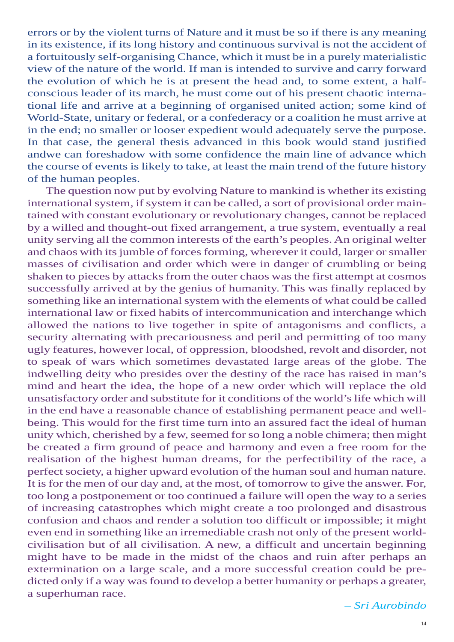errors or by the violent turns of Nature and it must be so if there is any meaning in its existence, if its long history and continuous survival is not the accident of a fortuitously self-organising Chance, which it must be in a purely materialistic view of the nature of the world. If man is intended to survive and carry forward the evolution of which he is at present the head and, to some extent, a halfconscious leader of its march, he must come out of his present chaotic international life and arrive at a beginning of organised united action; some kind of World-State, unitary or federal, or a confederacy or a coalition he must arrive at in the end; no smaller or looser expedient would adequately serve the purpose. In that case, the general thesis advanced in this book would stand justified andwe can foreshadow with some confidence the main line of advance which the course of events is likely to take, at least the main trend of the future history of the human peoples.

The question now put by evolving Nature to mankind is whether its existing international system, if system it can be called, a sort of provisional order maintained with constant evolutionary or revolutionary changes, cannot be replaced by a willed and thought-out fixed arrangement, a true system, eventually a real unity serving all the common interests of the earth's peoples. An original welter and chaos with its jumble of forces forming, wherever it could, larger or smaller masses of civilisation and order which were in danger of crumbling or being shaken to pieces by attacks from the outer chaos was the first attempt at cosmos successfully arrived at by the genius of humanity. This was finally replaced by something like an international system with the elements of what could be called international law or fixed habits of intercommunication and interchange which allowed the nations to live together in spite of antagonisms and conflicts, a security alternating with precariousness and peril and permitting of too many ugly features, however local, of oppression, bloodshed, revolt and disorder, not to speak of wars which sometimes devastated large areas of the globe. The indwelling deity who presides over the destiny of the race has raised in man's mind and heart the idea, the hope of a new order which will replace the old unsatisfactory order and substitute for it conditions of the world's life which will in the end have a reasonable chance of establishing permanent peace and wellbeing. This would for the first time turn into an assured fact the ideal of human unity which, cherished by a few, seemed for so long a noble chimera; then might be created a firm ground of peace and harmony and even a free room for the realisation of the highest human dreams, for the perfectibility of the race, a perfect society, a higher upward evolution of the human soul and human nature. It is for the men of our day and, at the most, of tomorrow to give the answer. For, too long a postponement or too continued a failure will open the way to a series of increasing catastrophes which might create a too prolonged and disastrous confusion and chaos and render a solution too difficult or impossible; it might even end in something like an irremediable crash not only of the present worldcivilisation but of all civilisation. A new, a difficult and uncertain beginning might have to be made in the midst of the chaos and ruin after perhaps an extermination on a large scale, and a more successful creation could be predicted only if a way was found to develop a better humanity or perhaps a greater, a superhuman race.